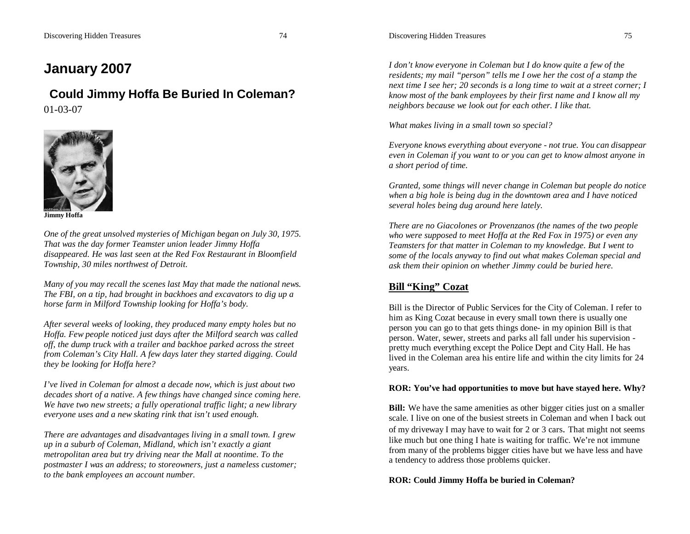# **January 2007**

# **Could Jimmy Hoffa Be Buried In Coleman?**

01-03-07



**Jimmy Hoffa**

*One of the great unsolved mysteries of Michigan began on July 30, 1975. That was the day former Teamster union leader Jimmy Hoffa disappeared. He was last seen at the Red Fox Restaurant in Bloomfield Township, 30 miles northwest of Detroit.*

*Many of you may recall the scenes last May that made the national news. The FBI, on a tip, had brought in backhoes and excavators to dig up a horse farm in Milford Township looking for Hoffa's body.*

*After several weeks of looking, they produced many empty holes but no Hoffa. Few people noticed just days after the Milford search was called off, the dump truck with a trailer and backhoe parked across the street from Coleman's City Hall. A few days later they started digging. Could they be looking for Hoffa here?*

*I've lived in Coleman for almost a decade now, which is just about two decades short of a native. A few things have changed since coming here. We have two new streets; a fully operational traffic light; a new library everyone uses and a new skating rink that isn't used enough.*

*There are advantages and disadvantages living in a small town. I grew up in a suburb of Coleman, Midland, which isn't exactly a giant metropolitan area but try driving near the Mall at noontime. To the postmaster I was an address; to storeowners, just a nameless customer; to the bank employees an account number.*

*I don't know everyone in Coleman but I do know quite a few of the residents; my mail "person" tells me I owe her the cost of a stamp the next time I see her; 20 seconds is a long time to wait at a street corner; I know most of the bank employees by their first name and I know all my neighbors because we look out for each other. I like that.*

*What makes living in a small town so special?*

*Everyone knows everything about everyone - not true. You can disappear even in Coleman if you want to or you can get to know almost anyone in a short period of time.* 

*Granted, some things will never change in Coleman but people do notice when a big hole is being dug in the downtown area and I have noticed several holes being dug around here lately.*

*There are no Giacolones or Provenzanos (the names of the two people who were supposed to meet Hoffa at the Red Fox in 1975) or even any Teamsters for that matter in Coleman to my knowledge. But I went to some of the locals anyway to find out what makes Coleman special and ask them their opinion on whether Jimmy could be buried here.*

# **Bill "King" Cozat**

Bill is the Director of Public Services for the City of Coleman. I refer to him as King Cozat because in every small town there is usually one person you can go to that gets things done- in my opinion Bill is that person. Water, sewer, streets and parks all fall under his supervision pretty much everything except the Police Dept and City Hall. He has lived in the Coleman area his entire life and within the city limits for 24 years.

# **ROR: You've had opportunities to move but have stayed here. Why?**

**Bill:** We have the same amenities as other bigger cities just on a smaller scale. I live on one of the busiest streets in Coleman and when I back out of my driveway I may have to wait for 2 or 3 cars. That might not seems like much but one thing I hate is waiting for traffic. We're not immune from many of the problems bigger cities have but we have less and have a tendency to address those problems quicker.

# **ROR: Could Jimmy Hoffa be buried in Coleman?**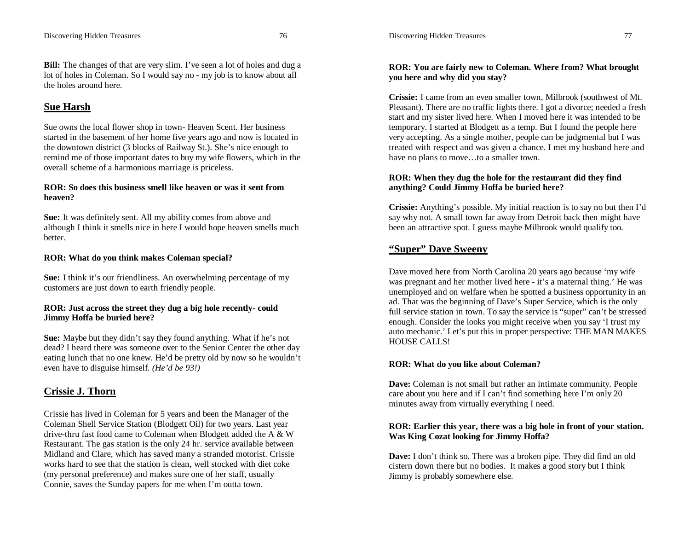**Bill:** The changes of that are very slim. I've seen a lot of holes and dug a lot of holes in Coleman. So I would say no - my job is to know about all the holes around here.

# **Sue Harsh**

Sue owns the local flower shop in town- Heaven Scent. Her business started in the basement of her home five years ago and now is located in the downtown district (3 blocks of Railway St.). She's nice enough to remind me of those important dates to buy my wife flowers, which in the overall scheme of a harmonious marriage is priceless.

# **ROR: So does this business smell like heaven or was it sent from heaven?**

**Sue:** It was definitely sent. All my ability comes from above and although I think it smells nice in here I would hope heaven smells much better.

# **ROR: What do you think makes Coleman special?**

**Sue:** I think it's our friendliness. An overwhelming percentage of my customers are just down to earth friendly people.

# **ROR: Just across the street they dug a big hole recently- could Jimmy Hoffa be buried here?**

**Sue:** Maybe but they didn't say they found anything. What if he's not dead? I heard there was someone over to the Senior Center the other day eating lunch that no one knew. He'd be pretty old by now so he wouldn't even have to disguise himself. *(He'd be 93!)*

# **Crissie J. Thorn**

Crissie has lived in Coleman for 5 years and been the Manager of the Coleman Shell Service Station (Blodgett Oil) for two years. Last year drive-thru fast food came to Coleman when Blodgett added the A & W Restaurant. The gas station is the only 24 hr. service available between Midland and Clare, which has saved many a stranded motorist. Crissie works hard to see that the station is clean, well stocked with diet coke (my personal preference) and makes sure one of her staff, usually Connie, saves the Sunday papers for me when I'm outta town.

# **ROR: You are fairly new to Coleman. Where from? What brought you here and why did you stay?**

**Crissie:** I came from an even smaller town, Milbrook (southwest of Mt. Pleasant). There are no traffic lights there. I got a divorce; needed a fresh start and my sister lived here. When I moved here it was intended to be temporary. I started at Blodgett as a temp. But I found the people here very accepting. As a single mother, people can be judgmental but I was treated with respect and was given a chance. I met my husband here and have no plans to move…to a smaller town.

# **ROR: When they dug the hole for the restaurant did they find anything? Could Jimmy Hoffa be buried here?**

**Crissie:** Anything's possible. My initial reaction is to say no but then I'd say why not. A small town far away from Detroit back then might have been an attractive spot. I guess maybe Milbrook would qualify too.

# **"Super" Dave Sweeny**

Dave moved here from North Carolina 20 years ago because 'my wife was pregnant and her mother lived here - it's a maternal thing.' He was unemployed and on welfare when he spotted a business opportunity in an ad. That was the beginning of Dave's Super Service, which is the only full service station in town. To say the service is "super" can't be stressed enough. Consider the looks you might receive when you say 'I trust my auto mechanic.' Let's put this in proper perspective: THE MAN MAKES HOUSE CALLS!

# **ROR: What do you like about Coleman?**

**Dave:** Coleman is not small but rather an intimate community. People care about you here and if I can't find something here I'm only 20 minutes away from virtually everything I need.

# **ROR: Earlier this year, there was a big hole in front of your station. Was King Cozat looking for Jimmy Hoffa?**

**Dave:** I don't think so. There was a broken pipe. They did find an old cistern down there but no bodies. It makes a good story but I think Jimmy is probably somewhere else.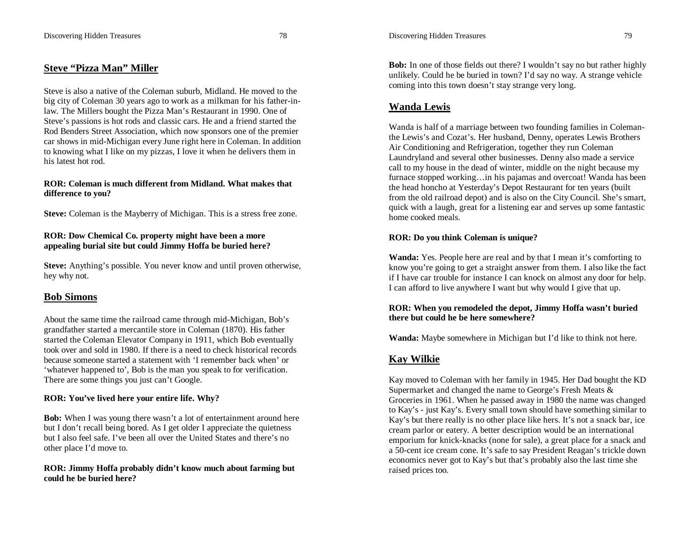# **Steve "Pizza Man" Miller**

Steve is also a native of the Coleman suburb, Midland. He moved to the big city of Coleman 30 years ago to work as a milkman for his father-inlaw. The Millers bought the Pizza Man's Restaurant in 1990. One of Steve's passions is hot rods and classic cars. He and a friend started the Rod Benders Street Association, which now sponsors one of the premier car shows in mid-Michigan every June right here in Coleman. In addition to knowing what I like on my pizzas, I love it when he delivers them in his latest hot rod.

#### **ROR: Coleman is much different from Midland. What makes that difference to you?**

**Steve:** Coleman is the Mayberry of Michigan. This is a stress free zone.

#### **ROR: Dow Chemical Co. property might have been a more appealing burial site but could Jimmy Hoffa be buried here?**

**Steve:** Anything's possible. You never know and until proven otherwise, hey why not.

# **Bob Simons**

About the same time the railroad came through mid-Michigan, Bob's grandfather started a mercantile store in Coleman (1870). His father started the Coleman Elevator Company in 1911, which Bob eventually took over and sold in 1980. If there is a need to check historical records because someone started a statement with 'I remember back when' or 'whatever happened to', Bob is the man you speak to for verification. There are some things you just can't Google.

#### **ROR: You've lived here your entire life. Why?**

**Bob:** When I was young there wasn't a lot of entertainment around here but I don't recall being bored. As I get older I appreciate the quietness but I also feel safe. I've been all over the United States and there's no other place I'd move to.

#### **ROR: Jimmy Hoffa probably didn't know much about farming but could he be buried here?**

**Bob:** In one of those fields out there? I wouldn't say no but rather highly unlikely. Could he be buried in town? I'd say no way. A strange vehicle coming into this town doesn't stay strange very long.

# **Wanda Lewis**

Wanda is half of a marriage between two founding families in Colemanthe Lewis's and Cozat's. Her husband, Denny, operates Lewis Brothers Air Conditioning and Refrigeration, together they run Coleman Laundryland and several other businesses. Denny also made a service call to my house in the dead of winter, middle on the night because my furnace stopped working...in his pajamas and overcoat! Wanda has been the head honcho at Yesterday's Depot Restaurant for ten years (built from the old railroad depot) and is also on the City Council. She's smart, quick with a laugh, great for a listening ear and serves up some fantastic home cooked meals.

#### **ROR: Do you think Coleman is unique?**

**Wanda:** Yes. People here are real and by that I mean it's comforting to know you're going to get a straight answer from them. I also like the fact if I have car trouble for instance I can knock on almost any door for help. I can afford to live anywhere I want but why would I give that up.

#### **ROR: When you remodeled the depot, Jimmy Hoffa wasn't buried there but could he be here somewhere?**

**Wanda:** Maybe somewhere in Michigan but I'd like to think not here.

# **Kay Wilkie**

Kay moved to Coleman with her family in 1945. Her Dad bought the KD Supermarket and changed the name to George's Fresh Meats & Groceries in 1961. When he passed away in 1980 the name was changed to Kay's - just Kay's. Every small town should have something similar to Kay's but there really is no other place like hers. It's not a snack bar, ice cream parlor or eatery. A better description would be an international emporium for knick-knacks (none for sale), a great place for a snack and a 50-cent ice cream cone. It's safe to say President Reagan's trickle down economics never got to Kay's but that's probably also the last time she raised prices too.